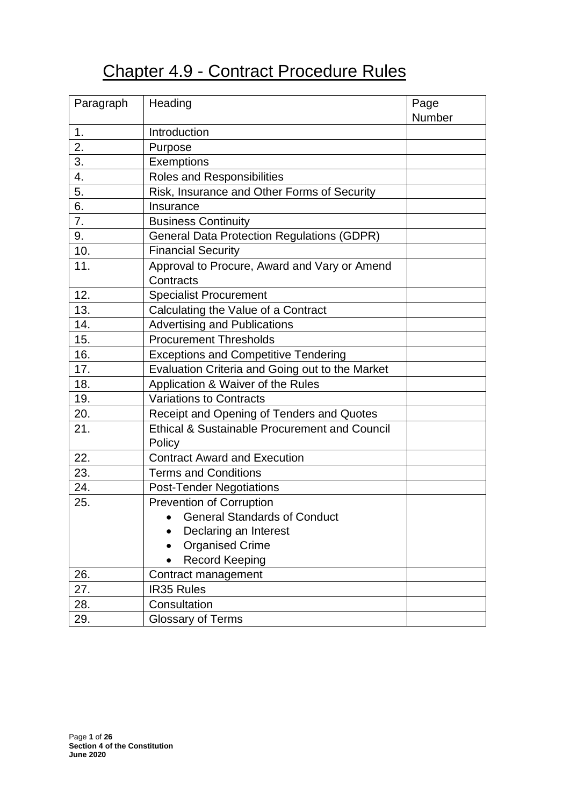# Chapter 4.9 - Contract Procedure Rules

| Paragraph | Heading                                                            | Page   |
|-----------|--------------------------------------------------------------------|--------|
|           |                                                                    | Number |
| 1.        | Introduction                                                       |        |
| 2.        | Purpose                                                            |        |
| 3.        | <b>Exemptions</b>                                                  |        |
| 4.        | Roles and Responsibilities                                         |        |
| 5.        | Risk, Insurance and Other Forms of Security                        |        |
| 6.        | Insurance                                                          |        |
| 7.        | <b>Business Continuity</b>                                         |        |
| 9.        | <b>General Data Protection Regulations (GDPR)</b>                  |        |
| 10.       | <b>Financial Security</b>                                          |        |
| 11.       | Approval to Procure, Award and Vary or Amend<br>Contracts          |        |
|           |                                                                    |        |
| 12.       | <b>Specialist Procurement</b>                                      |        |
| 13.       | Calculating the Value of a Contract                                |        |
| 14.       | <b>Advertising and Publications</b>                                |        |
| 15.       | <b>Procurement Thresholds</b>                                      |        |
| 16.       | <b>Exceptions and Competitive Tendering</b>                        |        |
| 17.       | Evaluation Criteria and Going out to the Market                    |        |
| 18.       | Application & Waiver of the Rules                                  |        |
| 19.       | <b>Variations to Contracts</b>                                     |        |
| 20.       | Receipt and Opening of Tenders and Quotes                          |        |
| 21.       | <b>Ethical &amp; Sustainable Procurement and Council</b><br>Policy |        |
| 22.       | <b>Contract Award and Execution</b>                                |        |
| 23.       | <b>Terms and Conditions</b>                                        |        |
| 24.       | <b>Post-Tender Negotiations</b>                                    |        |
| 25.       | <b>Prevention of Corruption</b>                                    |        |
|           | <b>General Standards of Conduct</b>                                |        |
|           | Declaring an Interest                                              |        |
|           | <b>Organised Crime</b>                                             |        |
|           | <b>Record Keeping</b>                                              |        |
| 26.       | Contract management                                                |        |
| 27.       | <b>IR35 Rules</b>                                                  |        |
| 28.       | Consultation                                                       |        |
| 29.       | <b>Glossary of Terms</b>                                           |        |
|           |                                                                    |        |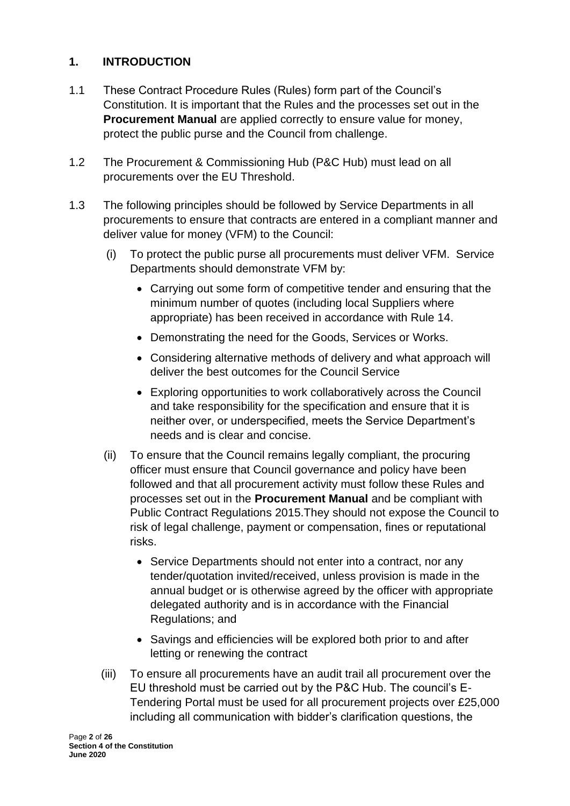## **1. INTRODUCTION**

- 1.1 These Contract Procedure Rules (Rules) form part of the Council's Constitution. It is important that the Rules and the processes set out in the **Procurement Manual** are applied correctly to ensure value for money, protect the public purse and the Council from challenge.
- 1.2 The Procurement & Commissioning Hub (P&C Hub) must lead on all procurements over the EU Threshold.
- 1.3 The following principles should be followed by Service Departments in all procurements to ensure that contracts are entered in a compliant manner and deliver value for money (VFM) to the Council:
	- (i) To protect the public purse all procurements must deliver VFM. Service Departments should demonstrate VFM by:
		- Carrying out some form of competitive tender and ensuring that the minimum number of quotes (including local Suppliers where appropriate) has been received in accordance with Rule 14.
		- Demonstrating the need for the Goods, Services or Works.
		- Considering alternative methods of delivery and what approach will deliver the best outcomes for the Council Service
		- Exploring opportunities to work collaboratively across the Council and take responsibility for the specification and ensure that it is neither over, or underspecified, meets the Service Department's needs and is clear and concise.
	- (ii) To ensure that the Council remains legally compliant, the procuring officer must ensure that Council governance and policy have been followed and that all procurement activity must follow these Rules and processes set out in the **Procurement Manual** and be compliant with [Public Contract Regulations](http://www.bing.com/search?q=public+contracts+regulatios+2015&src=IE-SearchBox&FORM=IENTTR&conversationid=) 2015.They should not expose the Council to risk of legal challenge, payment or compensation, fines or reputational risks.
		- Service Departments should not enter into a contract, nor any tender/quotation invited/received, unless provision is made in the annual budget or is otherwise agreed by the officer with appropriate delegated authority and is in accordance with the [Financial](http://governance.enfield.gov.uk/documents/s58604/PART4.doc.pdf)  [Regulations;](http://governance.enfield.gov.uk/documents/s58604/PART4.doc.pdf) and
		- Savings and efficiencies will be explored both prior to and after letting or renewing the contract
	- (iii) To ensure all procurements have an audit trail all procurement over the EU threshold must be carried out by the P&C Hub. The council's E-Tendering Portal must be used for all procurement projects over £25,000 including all communication with bidder's clarification questions, the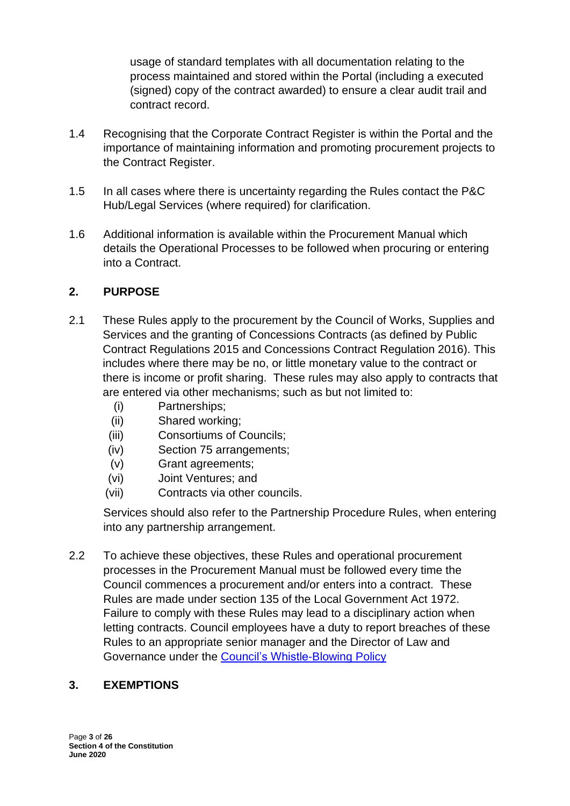usage of standard templates with all documentation relating to the process maintained and stored within the Portal (including a executed (signed) copy of the contract awarded) to ensure a clear audit trail and contract record.

- 1.4 Recognising that the Corporate Contract Register is within the Portal and the importance of maintaining information and promoting procurement projects to the Contract Register.
- 1.5 In all cases where there is uncertainty regarding the Rules contact the P&C Hub/Legal Services (where required) for clarification.
- 1.6 Additional information is available within the Procurement Manual which details the Operational Processes to be followed when procuring or entering into a Contract.

## **2. [PURPOSE](file://///lbe.local/fileserver/Resource/ProcurementandCommissioningHub/Procurement%20Operations%20&%20Governance/CPR)**

- 2.1 These Rules apply to the procurement by the Council of Works, Supplies and Services and the granting of [Concessions Contracts](http://www.legislation.gov.uk/uksi/2016/273/pdfs/uksi_20160273_en.pdf) (as defined by [Public](http://www.bing.com/search?q=public+contracts+regulatios+2015&src=IE-SearchBox&FORM=IENTTR&conversationid=)  [Contract Regulations](http://www.bing.com/search?q=public+contracts+regulatios+2015&src=IE-SearchBox&FORM=IENTTR&conversationid=) 2015 and Concessions Contract Regulation 2016). This includes where there may be no, or little monetary value to the contract or there is income or profit sharing. These rules may also apply to contracts that are entered via other mechanisms; such as but not limited to:
	- (i) Partnerships;
	- (ii) Shared working;
	- (iii) Consortiums of Councils;
	- (iv) Section 75 arrangements;
	- (v) Grant agreements;
	- (vi) Joint Ventures; and
	- (vii) Contracts via other councils.

Services should also refer to the Partnership Procedure Rules, when entering into any partnership arrangement.

2.2 To achieve these objectives, these Rules and operational procurement processes in the Procurement Manual must be followed every time the Council commences a procurement and/or enters into a contract. These Rules are made under section 135 of the Local Government Act 1972. Failure to comply with these Rules may lead to a disciplinary action when letting contracts. Council employees have a duty to report breaches of these Rules to an appropriate senior manager and the Director of Law and Governance under the [Council's Whistle-Blowing Policy](https://enfield365.sharepoint.com/sites/intranethub/SitePages/Whistleblowing-Policy.aspx)

#### **3. [EXEMPTIONS](file://///lbe.local/fileserver/Resource/ProcurementandCommissioningHub/Procurement%20Operations%20&%20Governance/CPR)**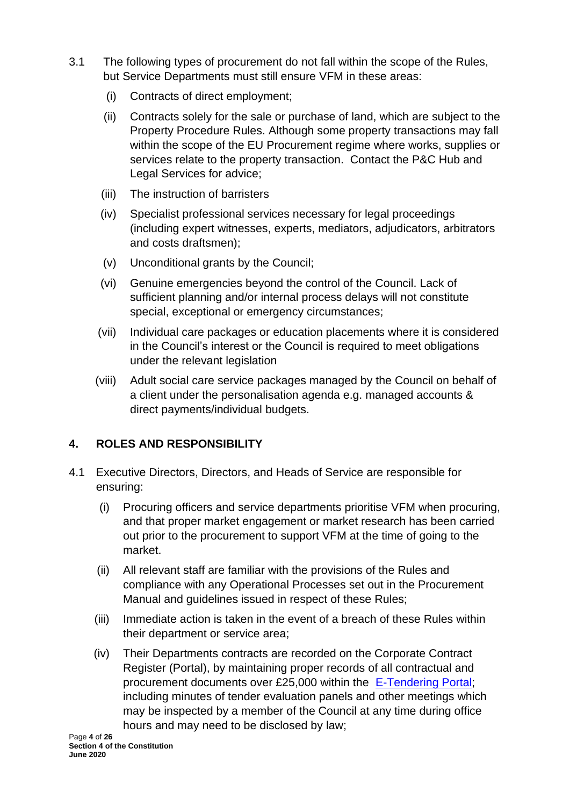- 3.1 The following types of procurement do not fall within the scope of the Rules, but Service Departments must still ensure VFM in these areas:
	- (i) Contracts of direct employment;
	- (ii) Contracts solely for the sale or purchase of land, which are subject to the [Property Procedure Rules.](http://enfieldeye/downloads/file/9261/property_procedure_rules) Although some property transactions may fall within the scope of the EU Procurement regime where works, supplies or services relate to the property transaction. Contact the P&C Hub and Legal Services for advice;
	- (iii) The instruction of barristers
	- (iv) Specialist professional services necessary for legal proceedings (including expert witnesses, experts, mediators, adjudicators, arbitrators and costs draftsmen);
	- (v) Unconditional grants by the Council;
	- (vi) Genuine emergencies beyond the control of the Council. Lack of sufficient planning and/or internal process delays will not constitute special, exceptional or emergency circumstances;
	- (vii) Individual care packages or education placements where it is considered in the Council's interest or the Council is required to meet obligations under the relevant legislation
	- (viii) Adult social care service packages managed by the Council on behalf of a client under the personalisation agenda e.g. managed accounts & direct payments/individual budgets.

# **4. ROLES AND RESPONSIBILITY**

- 4.1 Executive Directors, Directors, and Heads of Service are responsible for ensuring:
	- (i) Procuring officers and service departments prioritise VFM when procuring, and that proper market engagement or market research has been carried out prior to the procurement to support VFM at the time of going to the market.
	- (ii) All relevant staff are familiar with the provisions of the Rules and compliance with any Operational Processes set out in the Procurement Manual and guidelines issued in respect of these Rules;
	- (iii) Immediate action is taken in the event of a breach of these Rules within their department or service area;
	- (iv) Their Departments contracts are recorded on the Corporate Contract Register (Portal), by maintaining proper records of all contractual and procurement documents over £25,000 within the [E-Tendering Portal;](https://procontract.due-north.com/Login/Login) including minutes of tender evaluation panels and other meetings which may be inspected by a member of the Council at any time during office hours and may need to be disclosed by law;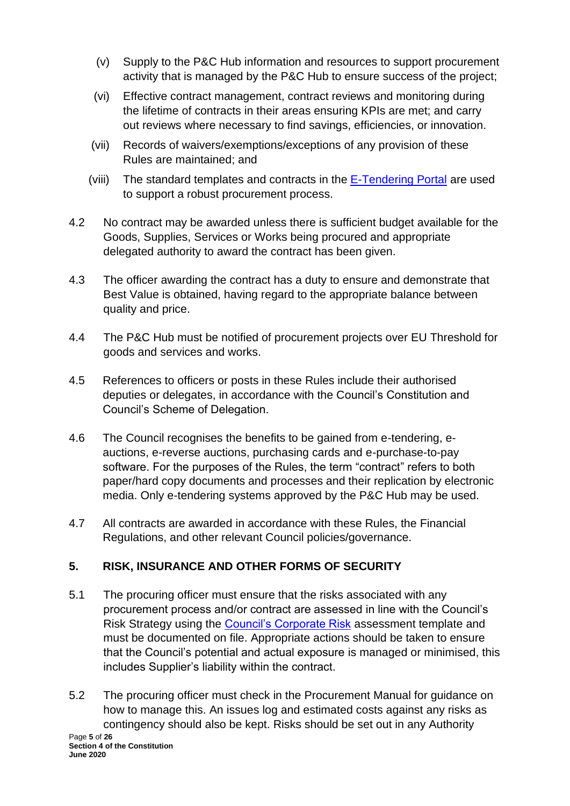- (v) Supply to the P&C Hub information and resources to support procurement activity that is managed by the P&C Hub to ensure success of the project;
- (vi) Effective contract management, contract reviews and monitoring during the lifetime of contracts in their areas ensuring KPIs are met; and carry out reviews where necessary to find savings, efficiencies, or innovation.
- (vii) Records of [waivers/](http://enfieldeye/downloads/file/8851/waiver_request)exemptions/exceptions of any provision of these Rules are maintained; and
- (viii) The standard templates and contracts in the [E-Tendering Portal](https://procontract.due-north.com/Login/Login) are used to support a robust procurement process.
- 4.2 No contract may be awarded unless there is sufficient budget available for the Goods, Supplies, Services or Works being procured and appropriate delegated authority to award the contract has been given.
- 4.3 The officer awarding the contract has a duty to ensure and demonstrate that Best Value is obtained, having regard to the appropriate balance between quality and price.
- 4.4 The P&C Hub must be notified of procurement projects over EU Threshold for goods and services and works.
- 4.5 References to officers or posts in these Rules include their authorised deputies or delegates, in accordance with the Council's Constitution and Council's Scheme of Delegation.
- 4.6 The Council recognises the benefits to be gained from e-tendering, eauctions, e-reverse auctions, purchasing cards and e-purchase-to-pay software. For the purposes of the Rules, the term "contract" refers to both paper/hard copy documents and processes and their replication by electronic media. Only e-tendering systems approved by the P&C Hub may be used.
- 4.7 All contracts are awarded in accordance with these Rules, the Financial Regulations, and other relevant Council policies/governance.

# **5. [RISK, INSURANCE AND OTHER FORMS OF SECURITY](file://///lbe.local/fileserver/Resource/ProcurementandCommissioningHub/Procurement%20Operations%20&%20Governance/CPR)**

- 5.1 The procuring officer must ensure that the risks associated with any procurement process and/or contract are assessed in line with the Council's Risk Strategy using the [Council's Corporate Risk](https://enfield365.sharepoint.com/sites/intranetauditandriskmgmt/SitePages/riskmanagement.aspx) assessment template and must be documented on file. Appropriate actions should be taken to ensure that the Council's potential and actual exposure is managed or minimised, this includes Supplier's liability within the contract.
- 5.2 The procuring officer must check in the Procurement Manual for guidance on how to manage this. An issues log and estimated costs against any risks as contingency should also be kept. Risks should be set out in any Authority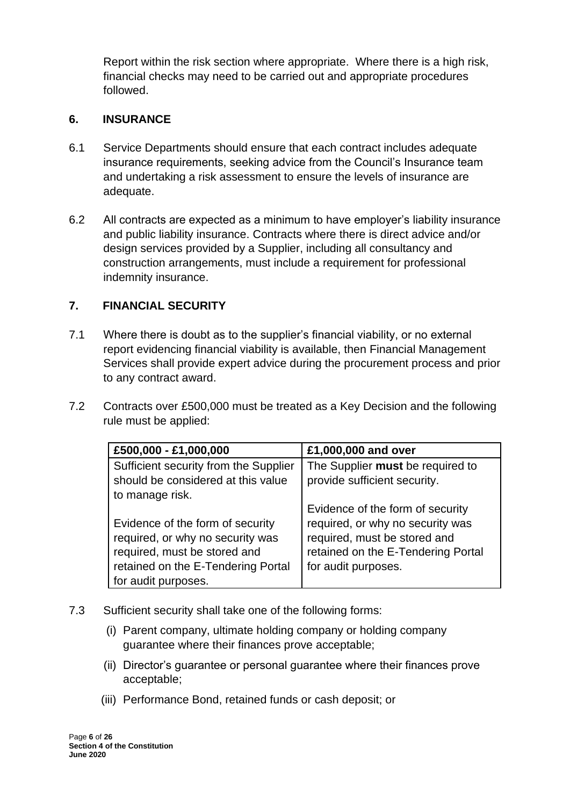Report within the risk section where appropriate. Where there is a high risk, financial checks may need to be carried out and appropriate procedures followed.

## **6. [INSURANCE](file://///lbe.local/fileserver/Resource/ProcurementandCommissioningHub/Procurement%20Operations%20&%20Governance/CPR)**

- 6.1 Service Departments should ensure that each contract includes adequate insurance requirements, seeking advice from the Council's Insurance team and undertaking a risk assessment to ensure the levels of insurance are adequate.
- 6.2 All contracts are expected as a minimum to have employer's liability insurance and public liability insurance. Contracts where there is direct advice and/or design services provided by a Supplier, including all consultancy and construction arrangements, must include a requirement for professional indemnity insurance.

## **7. FINANCIAL [SECURITY](file://///lbe.local/fileserver/Resource/ProcurementandCommissioningHub/Procurement%20Operations%20&%20Governance/CPR)**

- 7.1 Where there is doubt as to the supplier's financial viability, or no external report evidencing financial viability is available, then Financial Management Services shall provide expert advice during the procurement process and prior to any contract award.
- 7.2 Contracts over £500,000 must be treated as a Key Decision and the following rule must be applied:

| £500,000 - £1,000,000                 | £1,000,000 and over                |
|---------------------------------------|------------------------------------|
| Sufficient security from the Supplier | The Supplier must be required to   |
| should be considered at this value    | provide sufficient security.       |
| to manage risk.                       |                                    |
|                                       | Evidence of the form of security   |
| Evidence of the form of security      | required, or why no security was   |
| required, or why no security was      | required, must be stored and       |
| required, must be stored and          | retained on the E-Tendering Portal |
| retained on the E-Tendering Portal    | for audit purposes.                |
| for audit purposes.                   |                                    |

- 7.3 Sufficient security shall take one of the following forms:
	- (i) Parent company, ultimate holding company or holding company guarantee where their finances prove acceptable;
	- (ii) Director's guarantee or personal guarantee where their finances prove acceptable;
	- (iii) Performance Bond, retained funds or cash deposit; or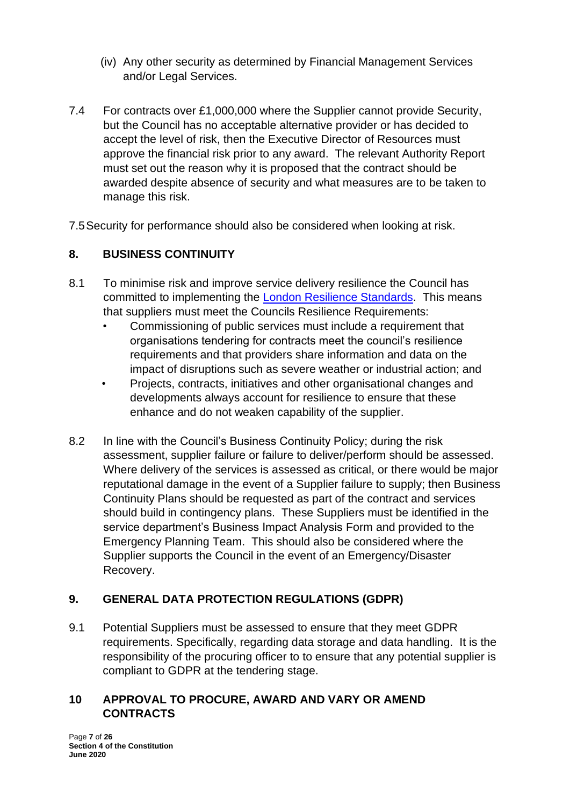- (iv) Any other security as determined by Financial Management Services and/or Legal Services.
- 7.4 For contracts over £1,000,000 where the Supplier cannot provide Security, but the Council has no acceptable alternative provider or has decided to accept the level of risk, then the Executive Director of Resources must approve the financial risk prior to any award. The relevant Authority Report must set out the reason why it is proposed that the contract should be awarded despite absence of security and what measures are to be taken to manage this risk.
- 7.5Security for performance should also be considered when looking at risk.

#### **8. [BUSINESS CONTINUITY](file://///lbe.local/fileserver/Resource/ProcurementandCommissioningHub/Procurement%20Operations%20&%20Governance/CPR)**

- 8.1 To minimise risk and improve service delivery resilience the Council has committed to implementing the [London Resilience Standards.](https://www.londoncouncils.gov.uk/sites/default/files/Resilience%20Standards.pdf) This means that suppliers must meet the Councils Resilience Requirements:
	- Commissioning of public services must include a requirement that organisations tendering for contracts meet the council's resilience requirements and that providers share information and data on the impact of disruptions such as severe weather or industrial action; and
	- Projects, contracts, initiatives and other organisational changes and developments always account for resilience to ensure that these enhance and do not weaken capability of the supplier.
- 8.2 In line with the Council's Business Continuity Policy; during the risk assessment, supplier failure or failure to deliver/perform should be assessed. Where delivery of the services is assessed as critical, or there would be major reputational damage in the event of a Supplier failure to supply; then Business Continuity Plans should be requested as part of the contract and services should build in contingency plans. These Suppliers must be identified in the service department's Business Impact Analysis Form and provided to the Emergency Planning Team. This should also be considered where the Supplier supports the Council in the event of an Emergency/Disaster Recovery.

# **9. GENERAL DATA PROTECTION REGULATIONS (GDPR)**

9.1 Potential Suppliers must be assessed to ensure that they meet GDPR requirements. Specifically, regarding data storage and data handling. It is the responsibility of the procuring officer to to ensure that any potential supplier is compliant to GDPR at the tendering stage.

#### **10 [APPROVAL TO PROCURE,](file://///lbe.local/fileserver/Resource/ProcurementandCommissioningHub/Procurement%20Operations%20&%20Governance/CPR) AWARD AND VARY OR AMEND CONTRACTS**

Page **7** of **26 Section 4 of the Constitution June 2020**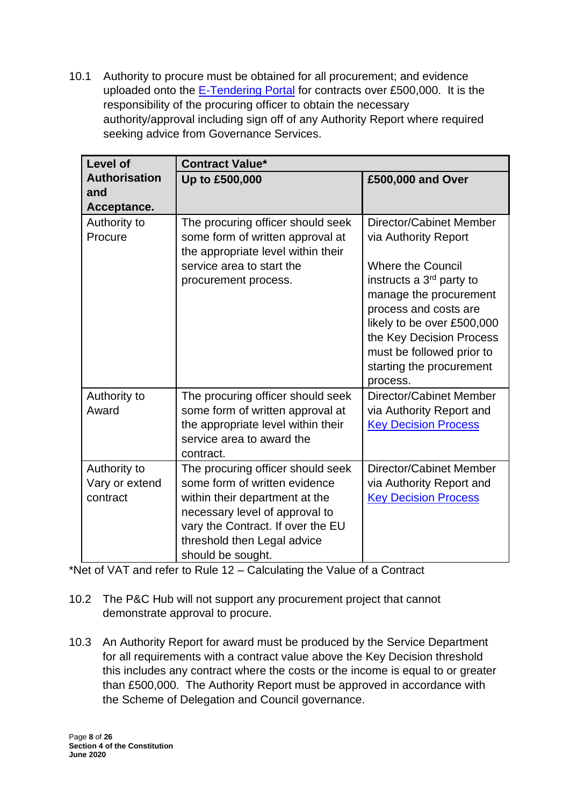10.1 Authority to procure must be obtained for all procurement; and evidence uploaded onto the [E-Tendering Portal](https://procontract.due-north.com/Login/Login) for contracts over £500,000. It is the responsibility of the procuring officer to obtain the necessary authority/approval including sign off of any Authority Report where required seeking advice from Governance Services.

| <b>Level of</b>                            | <b>Contract Value*</b>                                                                                                                                                                                                          |                                                                                                                                                                                                                                                                                                       |  |
|--------------------------------------------|---------------------------------------------------------------------------------------------------------------------------------------------------------------------------------------------------------------------------------|-------------------------------------------------------------------------------------------------------------------------------------------------------------------------------------------------------------------------------------------------------------------------------------------------------|--|
| <b>Authorisation</b><br>and<br>Acceptance. | Up to £500,000                                                                                                                                                                                                                  | £500,000 and Over                                                                                                                                                                                                                                                                                     |  |
| Authority to<br>Procure                    | The procuring officer should seek<br>some form of written approval at<br>the appropriate level within their<br>service area to start the<br>procurement process.                                                                | Director/Cabinet Member<br>via Authority Report<br><b>Where the Council</b><br>instructs a 3 <sup>rd</sup> party to<br>manage the procurement<br>process and costs are<br>likely to be over £500,000<br>the Key Decision Process<br>must be followed prior to<br>starting the procurement<br>process. |  |
| Authority to<br>Award                      | The procuring officer should seek<br>some form of written approval at<br>the appropriate level within their<br>service area to award the<br>contract.                                                                           | Director/Cabinet Member<br>via Authority Report and<br><b>Key Decision Process</b>                                                                                                                                                                                                                    |  |
| Authority to<br>Vary or extend<br>contract | The procuring officer should seek<br>some form of written evidence<br>within their department at the<br>necessary level of approval to<br>vary the Contract. If over the EU<br>threshold then Legal advice<br>should be sought. | Director/Cabinet Member<br>via Authority Report and<br><b>Key Decision Process</b>                                                                                                                                                                                                                    |  |

\*Net of VAT and refer to Rule 12 – Calculating the Value of a Contract

- 10.2 The P&C Hub will not support any procurement project that cannot demonstrate approval to procure.
- 10.3 An Authority Report for award must be produced by the Service Department for all requirements with a contract value above the Key Decision threshold this includes any contract where the costs or the income is equal to or greater than £500,000. The Authority Report must be approved in accordance with the Scheme of Delegation and Council governance.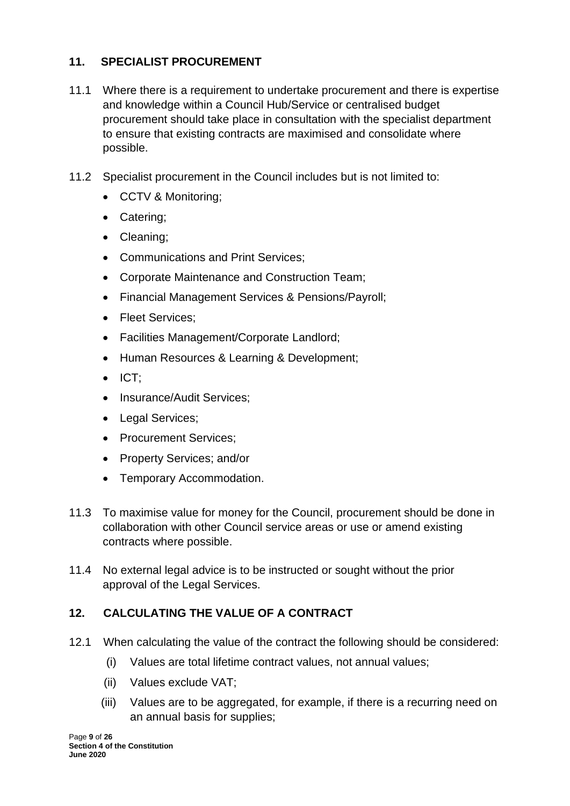## **11. [SPECIALIST PROCUREMENT](file://///lbe.local/fileserver/Resource/ProcurementandCommissioningHub/Procurement%20Operations%20&%20Governance/CPR)**

- 11.1 Where there is a requirement to undertake procurement and there is expertise and knowledge within a Council Hub/Service or centralised budget procurement should take place in consultation with the specialist department to ensure that existing contracts are maximised and consolidate where possible.
- 11.2 Specialist procurement in the Council includes but is not limited to:
	- CCTV & Monitoring;
	- Catering;
	- Cleaning;
	- Communications and Print Services;
	- Corporate Maintenance and Construction Team;
	- Financial Management Services & Pensions/Payroll;
	- Fleet Services:
	- Facilities Management/Corporate Landlord;
	- Human Resources & Learning & Development;
	- ICT;
	- Insurance/Audit Services;
	- Legal Services;
	- Procurement Services:
	- Property Services; and/or
	- Temporary Accommodation.
- 11.3 To maximise value for money for the Council, procurement should be done in collaboration with other Council service areas or use or amend existing contracts where possible.
- 11.4 No external legal advice is to be instructed or sought without the prior approval of the Legal Services.

# **12. [CALCULATING THE VALUE OF A CONTRACT](file://///lbe.local/fileserver/Resource/ProcurementandCommissioningHub/Procurement%20Operations%20&%20Governance/CPR)**

- 12.1 When calculating the value of the contract the following should be considered:
	- (i) Values are total lifetime contract values, not annual values;
	- (ii) Values exclude VAT;
	- (iii) Values are to be aggregated, for example, if there is a recurring need on an annual basis for supplies;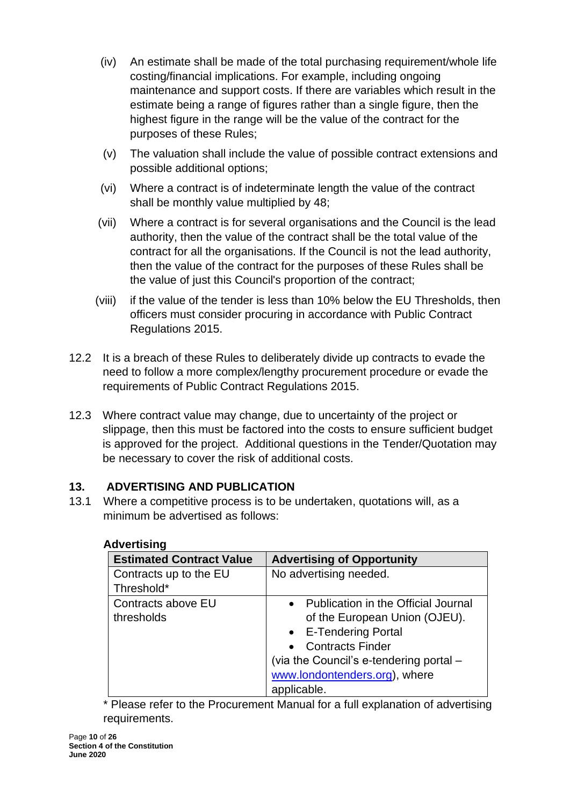- (iv) An estimate shall be made of the total purchasing requirement/whole life costing/financial implications. For example, including ongoing maintenance and support costs. If there are variables which result in the estimate being a range of figures rather than a single figure, then the highest figure in the range will be the value of the contract for the purposes of these Rules;
- (v) The valuation shall include the value of possible contract extensions and possible additional options;
- (vi) Where a contract is of indeterminate length the value of the contract shall be monthly value multiplied by 48;
- (vii) Where a contract is for several organisations and the Council is the lead authority, then the value of the contract shall be the total value of the contract for all the organisations. If the Council is not the lead authority, then the value of the contract for the purposes of these Rules shall be the value of just this Council's proportion of the contract;
- (viii) if the value of the tender is less than 10% below the EU Thresholds, then officers must consider procuring in accordance with Public Contract Regulations 2015.
- 12.2 It is a breach of these Rules to deliberately divide up contracts to evade the need to follow a more complex/lengthy procurement procedure or evade the requirements of Public Contract Regulations 2015.
- 12.3 Where contract value may change, due to uncertainty of the project or slippage, then this must be factored into the costs to ensure sufficient budget is approved for the project. Additional questions in the Tender/Quotation may be necessary to cover the risk of additional costs.

#### **13. [ADVERTISING](file://///lbe.local/fileserver/Resource/ProcurementandCommissioningHub/Procurement%20Operations%20&%20Governance/CPR) AND PUBLICATION**

13.1 Where a competitive process is to be undertaken, quotations will, as a minimum be advertised as follows:

| <b>Estimated Contract Value</b> | <b>Advertising of Opportunity</b>                |
|---------------------------------|--------------------------------------------------|
| Contracts up to the EU          | No advertising needed.                           |
| Threshold*                      |                                                  |
| Contracts above EU              | Publication in the Official Journal<br>$\bullet$ |
| thresholds                      | of the European Union (OJEU).                    |
|                                 | • E-Tendering Portal                             |
|                                 | <b>Contracts Finder</b><br>$\bullet$             |
|                                 | (via the Council's e-tendering portal -          |
|                                 | www.londontenders.org), where                    |
|                                 | applicable.                                      |

#### **Advertising**

\* Please refer to the Procurement Manual for a full explanation of advertising requirements.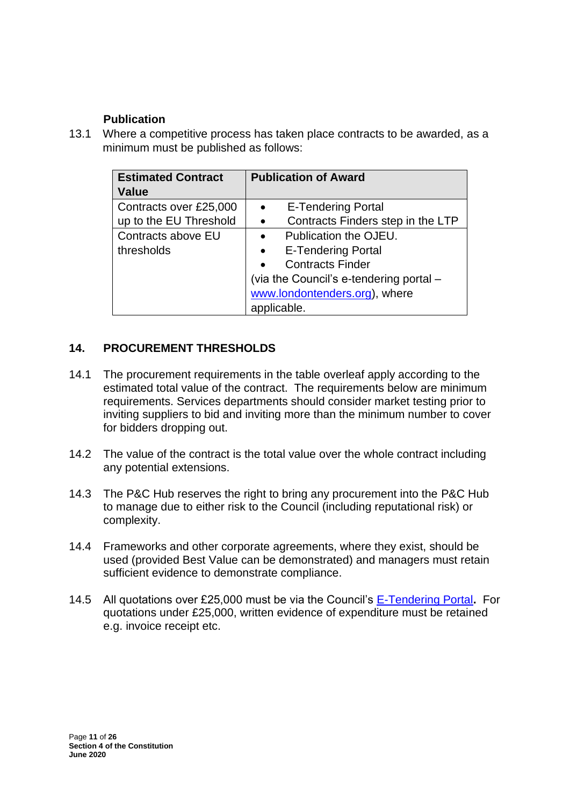#### **Publication**

13.1 Where a competitive process has taken place contracts to be awarded, as a minimum must be published as follows:

| <b>Estimated Contract</b> | <b>Publication of Award</b>                    |
|---------------------------|------------------------------------------------|
| <b>Value</b>              |                                                |
| Contracts over £25,000    | <b>E-Tendering Portal</b>                      |
| up to the EU Threshold    | Contracts Finders step in the LTP<br>$\bullet$ |
| Contracts above EU        | Publication the OJEU.<br>$\bullet$             |
| thresholds                | <b>E-Tendering Portal</b><br>$\bullet$         |
|                           | <b>Contracts Finder</b>                        |
|                           | (via the Council's e-tendering portal -        |
|                           | www.londontenders.org), where                  |
|                           | applicable.                                    |

# **14. PROCUREMENT THRESHOLDS**

- 14.1 The procurement requirements in the table overleaf apply according to the estimated total value of the contract. The requirements below are minimum requirements. Services departments should consider market testing prior to inviting suppliers to bid and inviting more than the minimum number to cover for bidders dropping out.
- 14.2 The value of the contract is the total value over the whole contract including any potential extensions.
- 14.3 The P&C Hub reserves the right to bring any procurement into the P&C Hub to manage due to either risk to the Council (including reputational risk) or complexity.
- 14.4 Frameworks and other corporate agreements, where they exist, should be used (provided Best Value can be demonstrated) and managers must retain sufficient evidence to demonstrate compliance.
- 14.5 All quotations over £25,000 must be via the Council's [E-Tendering Portal](https://procontract.due-north.com/Login/Login)**.** For quotations under £25,000, written evidence of expenditure must be retained e.g. invoice receipt etc.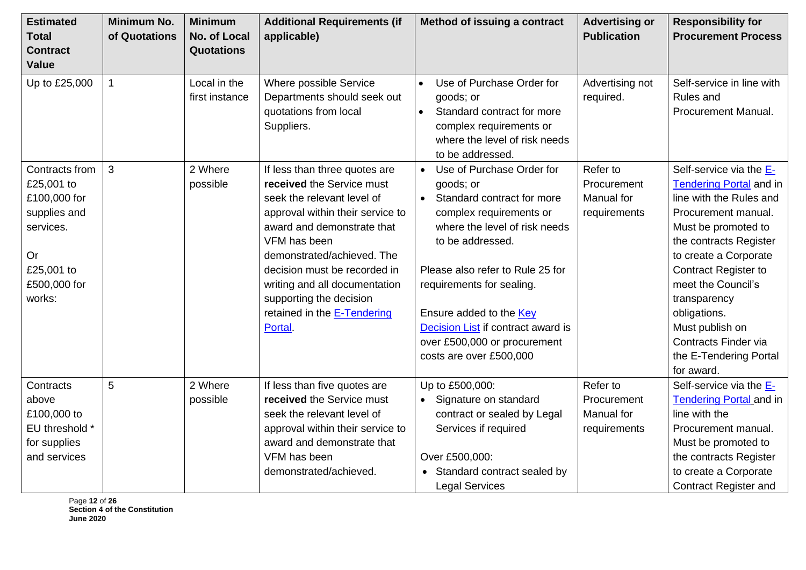| <b>Estimated</b><br><b>Total</b><br><b>Contract</b><br><b>Value</b>                                                     | <b>Minimum No.</b><br>of Quotations | <b>Minimum</b><br>No. of Local<br><b>Quotations</b> | <b>Additional Requirements (if</b><br>applicable)                                                                                                                                                                                                                                                                                                     | Method of issuing a contract                                                                                                                                                                                                                                                                                                                                                       | <b>Advertising or</b><br><b>Publication</b>           | <b>Responsibility for</b><br><b>Procurement Process</b>                                                                                                                                                                                                                                                                                                       |
|-------------------------------------------------------------------------------------------------------------------------|-------------------------------------|-----------------------------------------------------|-------------------------------------------------------------------------------------------------------------------------------------------------------------------------------------------------------------------------------------------------------------------------------------------------------------------------------------------------------|------------------------------------------------------------------------------------------------------------------------------------------------------------------------------------------------------------------------------------------------------------------------------------------------------------------------------------------------------------------------------------|-------------------------------------------------------|---------------------------------------------------------------------------------------------------------------------------------------------------------------------------------------------------------------------------------------------------------------------------------------------------------------------------------------------------------------|
| Up to £25,000                                                                                                           |                                     | Local in the<br>first instance                      | Where possible Service<br>Departments should seek out<br>quotations from local<br>Suppliers.                                                                                                                                                                                                                                                          | Use of Purchase Order for<br>$\bullet$<br>goods; or<br>Standard contract for more<br>$\bullet$<br>complex requirements or<br>where the level of risk needs<br>to be addressed.                                                                                                                                                                                                     | Advertising not<br>required.                          | Self-service in line with<br>Rules and<br><b>Procurement Manual.</b>                                                                                                                                                                                                                                                                                          |
| Contracts from<br>£25,001 to<br>£100,000 for<br>supplies and<br>services.<br>Or<br>£25,001 to<br>£500,000 for<br>works: | 3                                   | 2 Where<br>possible                                 | If less than three quotes are<br>received the Service must<br>seek the relevant level of<br>approval within their service to<br>award and demonstrate that<br>VFM has been<br>demonstrated/achieved. The<br>decision must be recorded in<br>writing and all documentation<br>supporting the decision<br>retained in the <b>E-Tendering</b><br>Portal. | Use of Purchase Order for<br>$\bullet$<br>goods; or<br>Standard contract for more<br>$\bullet$<br>complex requirements or<br>where the level of risk needs<br>to be addressed.<br>Please also refer to Rule 25 for<br>requirements for sealing.<br>Ensure added to the <b>Key</b><br>Decision List if contract award is<br>over £500,000 or procurement<br>costs are over £500,000 | Refer to<br>Procurement<br>Manual for<br>requirements | Self-service via the E-<br><b>Tendering Portal and in</b><br>line with the Rules and<br>Procurement manual.<br>Must be promoted to<br>the contracts Register<br>to create a Corporate<br><b>Contract Register to</b><br>meet the Council's<br>transparency<br>obligations.<br>Must publish on<br>Contracts Finder via<br>the E-Tendering Portal<br>for award. |
| Contracts<br>above<br>£100,000 to<br>EU threshold *<br>for supplies<br>and services                                     | 5                                   | 2 Where<br>possible                                 | If less than five quotes are<br>received the Service must<br>seek the relevant level of<br>approval within their service to<br>award and demonstrate that<br>VFM has been<br>demonstrated/achieved.                                                                                                                                                   | Up to £500,000:<br>Signature on standard<br>$\bullet$<br>contract or sealed by Legal<br>Services if required<br>Over £500,000:<br>Standard contract sealed by<br><b>Legal Services</b>                                                                                                                                                                                             | Refer to<br>Procurement<br>Manual for<br>requirements | Self-service via the E-<br><b>Tendering Portal and in</b><br>line with the<br>Procurement manual.<br>Must be promoted to<br>the contracts Register<br>to create a Corporate<br>Contract Register and                                                                                                                                                          |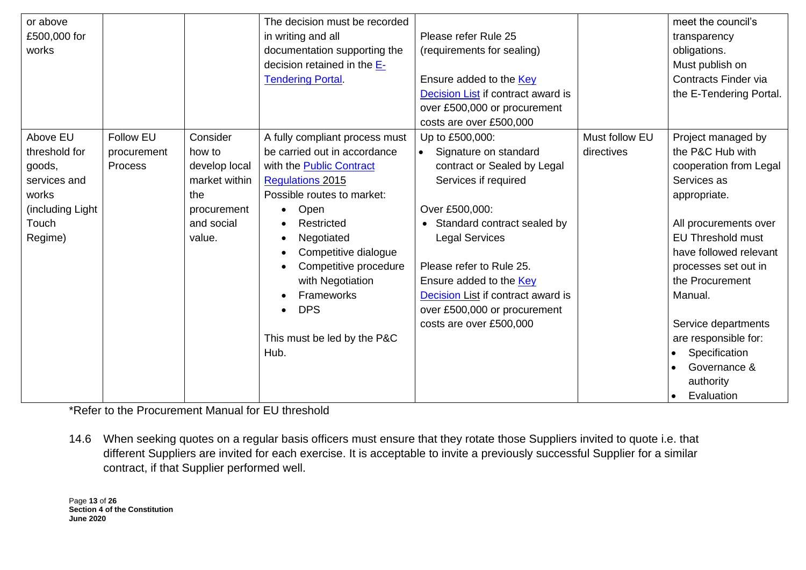| or above         |                  |               | The decision must be recorded   |                                           |                | meet the council's       |
|------------------|------------------|---------------|---------------------------------|-------------------------------------------|----------------|--------------------------|
| £500,000 for     |                  |               | in writing and all              | Please refer Rule 25                      |                | transparency             |
| works            |                  |               | documentation supporting the    | (requirements for sealing)                |                | obligations.             |
|                  |                  |               | decision retained in the E-     |                                           |                | Must publish on          |
|                  |                  |               | <b>Tendering Portal</b>         | Ensure added to the <b>Key</b>            |                | Contracts Finder via     |
|                  |                  |               |                                 | Decision List if contract award is        |                | the E-Tendering Portal.  |
|                  |                  |               |                                 | over £500,000 or procurement              |                |                          |
|                  |                  |               |                                 | costs are over £500,000                   |                |                          |
| Above EU         | <b>Follow EU</b> | Consider      | A fully compliant process must  | Up to £500,000:                           | Must follow EU | Project managed by       |
| threshold for    | procurement      | how to        | be carried out in accordance    | Signature on standard<br>$\bullet$        | directives     | the P&C Hub with         |
| goods,           | Process          | develop local | with the <b>Public Contract</b> | contract or Sealed by Legal               |                | cooperation from Legal   |
| services and     |                  | market within | <b>Regulations 2015</b>         | Services if required                      |                | Services as              |
| works            |                  | the           | Possible routes to market:      |                                           |                | appropriate.             |
| (including Light |                  | procurement   | Open                            | Over £500,000:                            |                |                          |
| Touch            |                  | and social    | Restricted                      | Standard contract sealed by               |                | All procurements over    |
| Regime)          |                  | value.        | Negotiated                      | <b>Legal Services</b>                     |                | <b>EU Threshold must</b> |
|                  |                  |               | Competitive dialogue            |                                           |                | have followed relevant   |
|                  |                  |               | Competitive procedure           | Please refer to Rule 25.                  |                | processes set out in     |
|                  |                  |               | with Negotiation                | Ensure added to the <b>Key</b>            |                | the Procurement          |
|                  |                  |               | Frameworks                      | <b>Decision List if contract award is</b> |                | Manual.                  |
|                  |                  |               | <b>DPS</b>                      | over £500,000 or procurement              |                |                          |
|                  |                  |               |                                 | costs are over £500,000                   |                | Service departments      |
|                  |                  |               | This must be led by the P&C     |                                           |                | are responsible for:     |
|                  |                  |               | Hub.                            |                                           |                | Specification            |
|                  |                  |               |                                 |                                           |                | Governance &             |
|                  |                  |               |                                 |                                           |                | authority                |
|                  |                  |               |                                 |                                           |                | Evaluation               |

\*Refer to the Procurement Manual for EU threshold

14.6 When seeking quotes on a regular basis officers must ensure that they rotate those Suppliers invited to quote i.e. that different Suppliers are invited for each exercise. It is acceptable to invite a previously successful Supplier for a similar contract, if that Supplier performed well.

Page **13** of **26 Section 4 of the Constitution June 2020**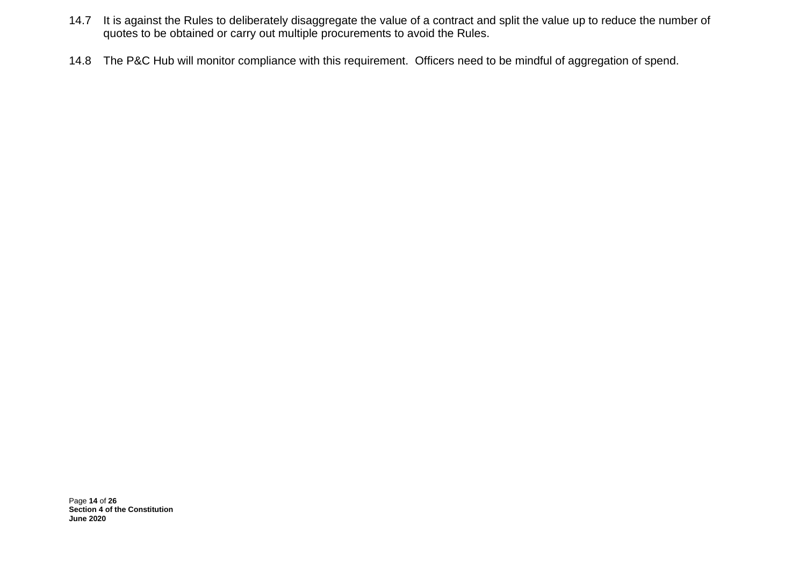- 14.7 It is against the Rules to deliberately disaggregate the value of a contract and split the value up to reduce the number of quotes to be obtained or carry out multiple procurements to avoid the Rules.
- 14.8 The P&C Hub will monitor compliance with this requirement. Officers need to be mindful of aggregation of spend.

Page **14** of **26 Section 4 of the Constitution June 2020**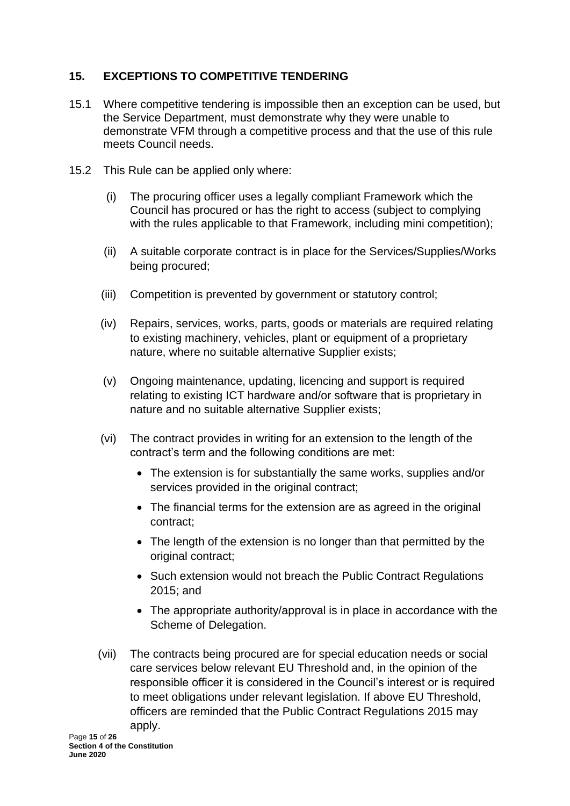## **15. EXCEPTIONS TO COMPETITIVE TENDERING**

- 15.1 Where competitive tendering is impossible then an exception can be used, but the Service Department, must demonstrate why they were unable to demonstrate VFM through a competitive process and that the use of this rule meets Council needs.
- 15.2 This Rule can be applied only where:
	- (i) The procuring officer uses a legally compliant Framework which the Council has procured or has the right to access (subject to complying with the rules applicable to that Framework, including mini competition);
	- (ii) A suitable corporate contract is in place for the Services/Supplies/Works being procured;
	- (iii) Competition is prevented by government or statutory control;
	- (iv) Repairs, services, works, parts, goods or materials are required relating to existing machinery, vehicles, plant or equipment of a proprietary nature, where no suitable alternative Supplier exists;
	- (v) Ongoing maintenance, updating, licencing and support is required relating to existing ICT hardware and/or software that is proprietary in nature and no suitable alternative Supplier exists;
	- (vi) The contract provides in writing for an extension to the length of the contract's term and the following conditions are met:
		- The extension is for substantially the same works, supplies and/or services provided in the original contract:
		- The financial terms for the extension are as agreed in the original contract;
		- The length of the extension is no longer than that permitted by the original contract:
		- Such extension would not breach the Public Contract Regulations 2015; and
		- The appropriate authority/approval is in place in accordance with the Scheme of Delegation.
	- (vii) The contracts being procured are for special education needs or social care services below relevant EU Threshold and, in the opinion of the responsible officer it is considered in the Council's interest or is required to meet obligations under relevant legislation. If above EU Threshold, officers are reminded that the Public Contract Regulations 2015 may apply.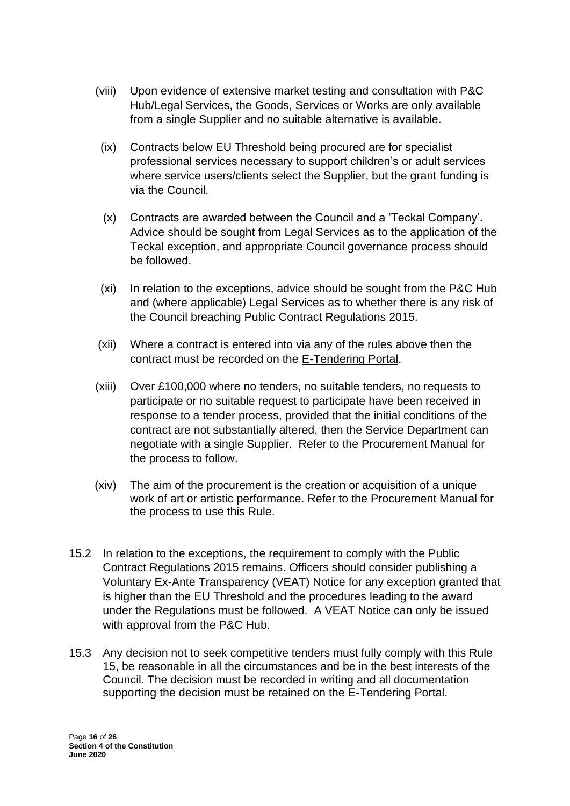- (viii) Upon evidence of extensive market testing and consultation with P&C Hub/Legal Services, the Goods, Services or Works are only available from a single Supplier and no suitable alternative is available.
	- (ix) Contracts below EU Threshold being procured are for specialist professional services necessary to support children's or adult services where service users/clients select the Supplier, but the grant funding is via the Council.
	- (x) Contracts are awarded between the Council and a 'Teckal Company'. Advice should be sought from Legal Services as to the application of the Teckal exception, and appropriate Council governance process should be followed.
	- (xi) In relation to the exceptions, advice should be sought from the P&C Hub and (where applicable) Legal Services as to whether there is any risk of the Council breaching Public Contract Regulations 2015.
- (xii) Where a contract is entered into via any of the rules above then the contract must be recorded on the E-Tendering Portal.
- (xiii) Over £100,000 where no tenders, no suitable tenders, no requests to participate or no suitable request to participate have been received in response to a tender process, provided that the initial conditions of the contract are not substantially altered, then the Service Department can negotiate with a single Supplier. Refer to the Procurement Manual for the process to follow.
- (xiv) The aim of the procurement is the creation or acquisition of a unique work of art or artistic performance. Refer to the Procurement Manual for the process to use this Rule.
- 15.2 In relation to the exceptions, the requirement to comply with the Public Contract Regulations 2015 remains. Officers should consider publishing a Voluntary Ex-Ante Transparency (VEAT) Notice for any exception granted that is higher than the EU Threshold and the procedures leading to the award under the Regulations must be followed. A VEAT Notice can only be issued with approval from the P&C Hub.
- 15.3 Any decision not to seek competitive tenders must fully comply with this Rule 15, be reasonable in all the circumstances and be in the best interests of the Council. The decision must be recorded in writing and all documentation supporting the decision must be retained on the E-Tendering Portal.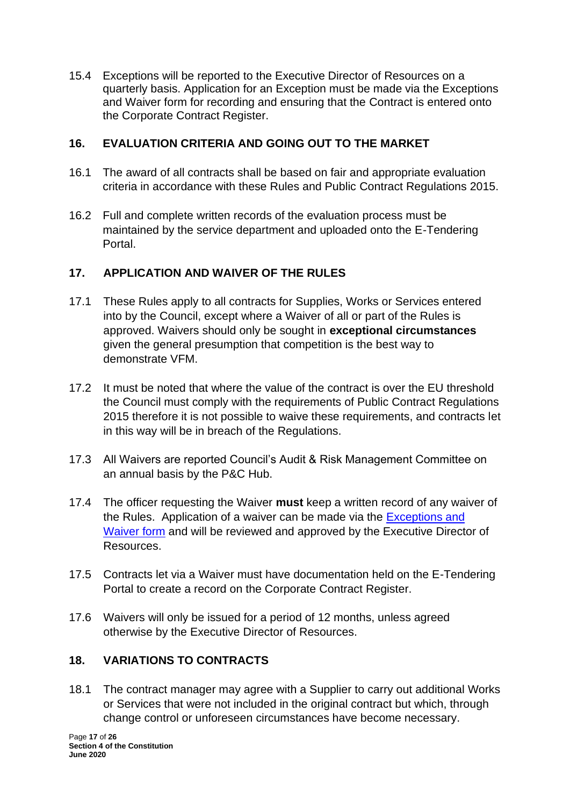15.4 Exceptions will be reported to the Executive Director of Resources on a quarterly basis. Application for an Exception must be made via the Exceptions and Waiver form for recording and ensuring that the Contract is entered onto the Corporate Contract Register.

#### **16. EVALUATION CRITERIA AND GOING OUT TO THE MARKET**

- 16.1 The award of all contracts shall be based on fair and appropriate evaluation criteria in accordance with these Rules and Public Contract Regulations 2015.
- 16.2 Full and complete written records of the evaluation process must be maintained by the service department and uploaded onto the E-Tendering Portal.

#### **17. APPLICATION AND WAIVER OF THE RULES**

- 17.1 These Rules apply to all contracts for Supplies, Works or Services entered into by the Council, except where a Waiver of all or part of the Rules is approved. Waivers should only be sought in **exceptional circumstances** given the general presumption that competition is the best way to demonstrate VFM.
- 17.2 It must be noted that where the value of the contract is over the EU threshold the Council must comply with the requirements of Public Contract Regulations 2015 therefore it is not possible to waive these requirements, and contracts let in this way will be in breach of the Regulations.
- 17.3 All Waivers are reported Council's Audit & Risk Management Committee on an annual basis by the P&C Hub.
- 17.4 The officer requesting the Waiver **must** keep a written record of any waiver of the Rules. Application of a waiver can be made via the [Exceptions and](https://enfield365.sharepoint.com/:x:/r/sites/intranetAccountsPayableReceivable/_layouts/15/Doc.aspx?sourcedoc=%7B9009CB4F-4CD5-4CA5-AE37-574060500D3D%7D&file=Supplier_Info_-_Waiver_Exception.xlsm&action=default&mobileredirect=true)  [Waiver form](https://enfield365.sharepoint.com/:x:/r/sites/intranetAccountsPayableReceivable/_layouts/15/Doc.aspx?sourcedoc=%7B9009CB4F-4CD5-4CA5-AE37-574060500D3D%7D&file=Supplier_Info_-_Waiver_Exception.xlsm&action=default&mobileredirect=true) and will be reviewed and approved by the Executive Director of Resources.
- 17.5 Contracts let via a Waiver must have documentation held on the E-Tendering Portal to create a record on the Corporate Contract Register.
- 17.6 Waivers will only be issued for a period of 12 months, unless agreed otherwise by the Executive Director of Resources.

#### **18. [VARIATIONS TO CONTRACTS](file://///lbe.local/fileserver/Resource/ProcurementandCommissioningHub/Procurement%20Operations%20&%20Governance/CPR)**

18.1 The contract manager may agree with a Supplier to carry out additional Works or Services that were not included in the original contract but which, through change control or unforeseen circumstances have become necessary.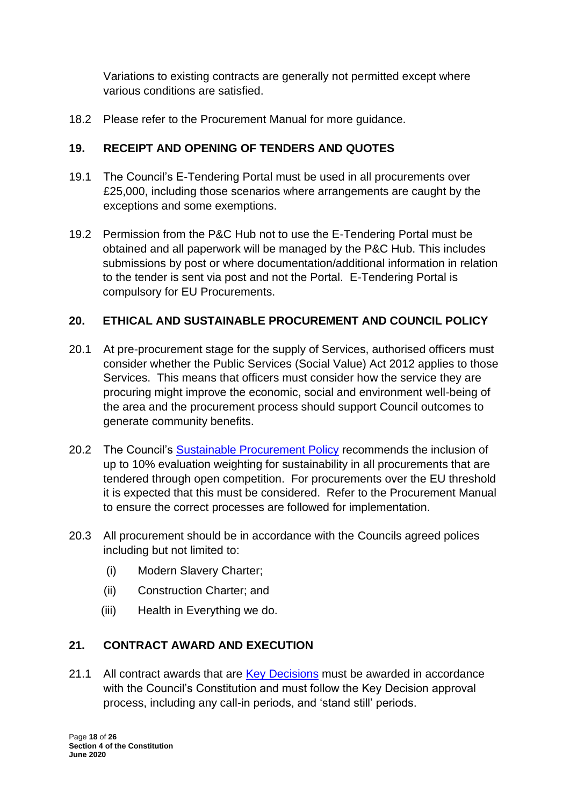Variations to existing contracts are generally not permitted except where various conditions are satisfied.

18.2 Please refer to the Procurement Manual for more guidance.

#### **19. [RECEIPT AND OPENING OF TENDERS AND QUOTES](file://///lbe.local/fileserver/Resource/ProcurementandCommissioningHub/Procurement%20Operations%20&%20Governance/CPR)**

- 19.1 The Council's E-Tendering Portal must be used in all procurements over £25,000, including those scenarios where arrangements are caught by the exceptions and some exemptions.
- 19.2 Permission from the P&C Hub not to use the E-Tendering Portal must be obtained and all paperwork will be managed by the P&C Hub. This includes submissions by post or where documentation/additional information in relation to the tender is sent via post and not the Portal. E-Tendering Portal is compulsory for EU Procurements.

#### **20. ETHICAL AND SUSTAINABLE PROCUREMENT AND COUNCIL POLICY**

- 20.1 At pre-procurement stage for the supply of Services, authorised officers must consider whether the Public Services (Social Value) Act 2012 applies to those Services. This means that officers must consider how the service they are procuring might improve the economic, social and environment well-being of the area and the procurement process should support Council outcomes to generate community benefits.
- 20.2 The Council's [Sustainable Procurement Policy](https://enfield365.sharepoint.com/sites/intranetprocurement/Shared%20Documents/Forms/AllItems.aspx?id=%2Fsites%2Fintranetprocurement%2FShared%20Documents%2FProcurement%20Policy%20%26%20Guidance%2FEnfield%5FSustainable%5FProcurement%5FPolicy%2Epdf&parent=%2Fsites%2Fintranetprocurement%2FShared%20Documents%2FProcurement%20Policy%20%26%20Guidance) recommends the inclusion of up to 10% evaluation weighting for sustainability in all procurements that are tendered through open competition. For procurements over the EU threshold it is expected that this must be considered. Refer to the Procurement Manual to ensure the correct processes are followed for implementation.
- 20.3 All procurement should be in accordance with the Councils agreed polices including but not limited to:
	- (i) Modern Slavery Charter;
	- (ii) Construction Charter; and
	- (iii) Health in Everything we do.

# **21. CONTRACT AWARD AND EXECUTION**

21.1 All contract awards that are [Key Decisions](http://governance.enfield.gov.uk/mgListPlans.aspx?) must be awarded in accordance with the Council's Constitution and must follow the Key Decision approval process, including any call-in periods, and 'stand still' periods.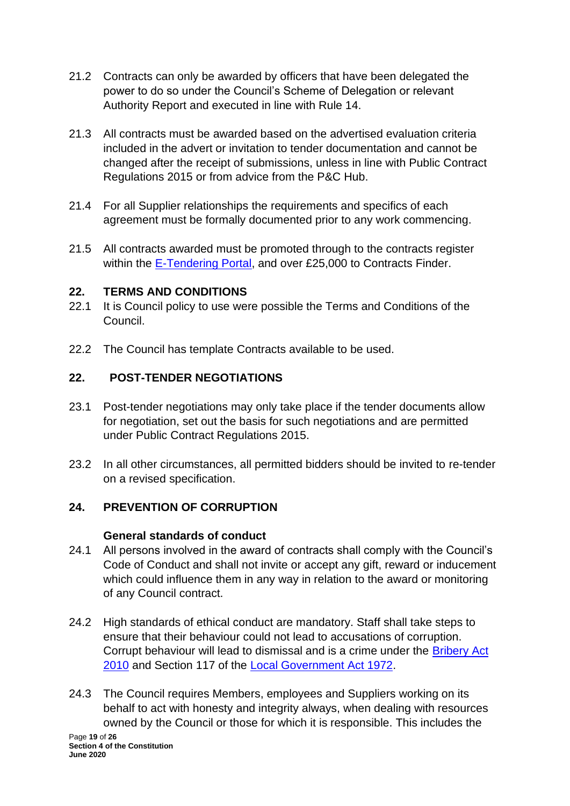- 21.2 Contracts can only be awarded by officers that have been delegated the power to do so under the Council's Scheme of Delegation or relevant Authority Report and executed in line with Rule 14.
- 21.3 All contracts must be awarded based on the advertised evaluation criteria included in the advert or invitation to tender documentation and cannot be changed after the receipt of submissions, unless in line with Public Contract Regulations 2015 or from advice from the P&C Hub.
- 21.4 For all Supplier relationships the requirements and specifics of each agreement must be formally documented prior to any work commencing.
- 21.5 All contracts awarded must be promoted through to the contracts register within the [E-Tendering Portal,](https://procontract.due-north.com/Login/Login) and over £25,000 to Contracts Finder.

#### **22. TERMS AND CONDITIONS**

- 22.1 It is Council policy to use were possible the Terms and Conditions of the Council.
- 22.2 The Council has template Contracts available to be used.

## **22. [POST-TENDER NEGOTIATIONS](file://///lbe.local/fileserver/Resource/ProcurementandCommissioningHub/Procurement%20Operations%20&%20Governance/CPR)**

- 23.1 Post-tender negotiations may only take place if the tender documents allow for negotiation, set out the basis for such negotiations and are permitted under Public Contract Regulations 2015.
- 23.2 In all other circumstances, all permitted bidders should be invited to re-tender on a revised specification.

#### **24. PREVENTION OF CORRUPTION**

#### **General standards of conduct**

- 24.1 All persons involved in the award of contracts shall comply with the Council's Code of Conduct and shall not invite or accept any gift, reward or inducement which could influence them in any way in relation to the award or monitoring of any Council contract.
- 24.2 High standards of ethical conduct are mandatory. Staff shall take steps to ensure that their behaviour could not lead to accusations of corruption. Corrupt behaviour will lead to dismissal and is a crime under the [Bribery Act](http://www.legislation.gov.uk/ukpga/2010/23/contents)  [2010](http://www.legislation.gov.uk/ukpga/2010/23/contents) and Section 117 of the [Local Government Act 1972.](http://www.legislation.gov.uk/ukpga/1972/70)
- 24.3 The Council requires Members, employees and Suppliers working on its behalf to act with honesty and integrity always, when dealing with resources owned by the Council or those for which it is responsible. This includes the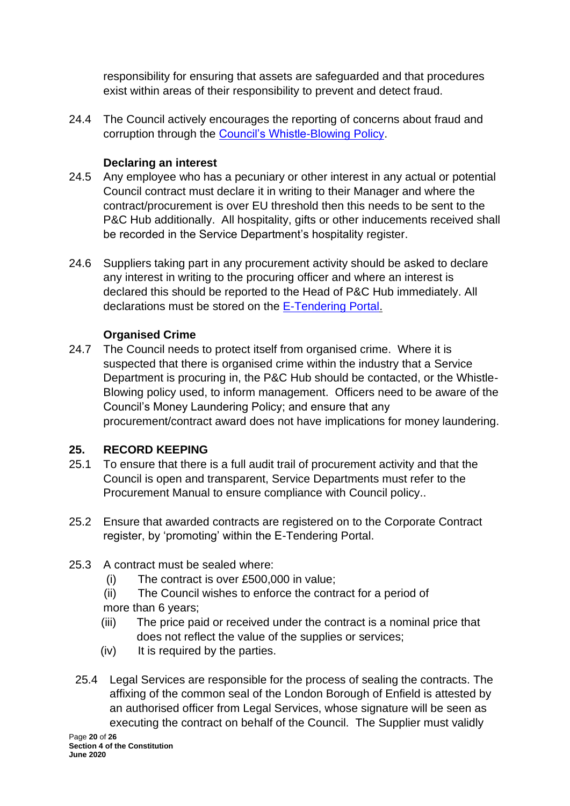responsibility for ensuring that assets are safeguarded and that procedures exist within areas of their responsibility to prevent and detect fraud.

24.4 The Council actively encourages the reporting of concerns about fraud and corruption through the [Council's Whistle-Blowing Policy.](https://enfield365.sharepoint.com/sites/intranethub/SitePages/Whistleblowing-Policy.aspx)

#### **Declaring an interest**

- 24.5 Any employee who has a pecuniary or other interest in any actual or potential Council contract must declare it in writing to their Manager and where the contract/procurement is over EU threshold then this needs to be sent to the P&C Hub additionally. All hospitality, gifts or other inducements received shall be recorded in the Service Department's hospitality register.
- 24.6 Suppliers taking part in any procurement activity should be asked to declare any interest in writing to the procuring officer and where an interest is declared this should be reported to the Head of P&C Hub immediately. All declarations must be stored on the [E-Tendering Portal.](https://procontract.due-north.com/Login/Login)

# **Organised Crime**

24.7 The Council needs to protect itself from organised crime. Where it is suspected that there is organised crime within the industry that a Service Department is procuring in, the P&C Hub should be contacted, or the Whistle-Blowing policy used, to inform management. Officers need to be aware of the Council's Money Laundering Policy; and ensure that any procurement/contract award does not have implications for money laundering.

# **25. [RECORD KEEPING](file://///lbe.local/fileserver/Resource/ProcurementandCommissioningHub/Procurement%20Operations%20&%20Governance/CPR)**

- 25.1 To ensure that there is a full audit trail of procurement activity and that the Council is open and transparent, Service Departments must refer to the Procurement Manual to ensure compliance with Council policy..
- 25.2 Ensure that awarded contracts are registered on to the Corporate Contract register, by 'promoting' within the E-Tendering Portal.
- 25.3 A contract must be sealed where:
	- (i) The contract is over £500,000 in value;
	- (ii) The Council wishes to enforce the contract for a period of more than 6 years;
	- (iii) The price paid or received under the contract is a nominal price that does not reflect the value of the supplies or services;
	- (iv) It is required by the parties.
- 25.4 Legal Services are responsible for the process of sealing the contracts. The affixing of the common seal of the London Borough of Enfield is attested by an authorised officer from Legal Services, whose signature will be seen as executing the contract on behalf of the Council. The Supplier must validly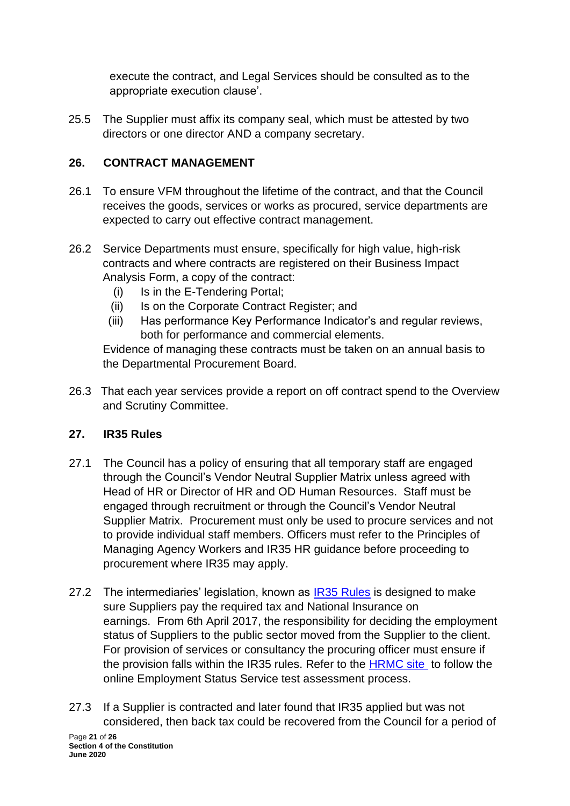execute the contract, and Legal Services should be consulted as to the appropriate execution clause'.

25.5 The Supplier must affix its company seal, which must be attested by two directors or one director AND a company secretary.

## **26. CONTRACT MANAGEMENT**

- 26.1 To ensure VFM throughout the lifetime of the contract, and that the Council receives the goods, services or works as procured, service departments are expected to carry out effective contract management.
- 26.2 Service Departments must ensure, specifically for high value, high-risk contracts and where contracts are registered on their Business Impact Analysis Form, a copy of the contract:
	- (i) Is in the E-Tendering Portal;
	- (ii) Is on the Corporate Contract Register; and
	- (iii) Has performance Key Performance Indicator's and regular reviews, both for performance and commercial elements.

Evidence of managing these contracts must be taken on an annual basis to the Departmental Procurement Board.

26.3 That each year services provide a report on off contract spend to the Overview and Scrutiny Committee.

# **27. [IR35 Rules](file://///lbe.local/fileserver/Resource/ProcurementandCommissioningHub/Procurement%20Operations%20&%20Governance/CPR)**

- 27.1 The Council has a policy of ensuring that all temporary staff are engaged through the Council's Vendor Neutral Supplier Matrix unless agreed with Head of HR or Director of HR and OD Human Resources. Staff must be engaged through recruitment or through the Council's Vendor Neutral Supplier Matrix. Procurement must only be used to procure services and not to provide individual staff members. Officers must refer to the Principles of Managing Agency Workers and IR35 HR guidance before proceeding to procurement where IR35 may apply.
- 27.2 The intermediaries' legislation, known as [IR35 Rules](https://www.gov.uk/guidance/ir35-find-out-if-it-applies) is designed to make sure Suppliers pay the required tax and National Insurance on earnings. From 6th April 2017, the responsibility for deciding the employment status of Suppliers to the public sector moved from the Supplier to the client. For provision of services or consultancy the procuring officer must ensure if the provision falls within the IR35 rules. Refer to the [HRMC site](https://www.gov.uk/guidance/check-employment-status-for-tax) to follow the online Employment Status Service test assessment process.
- 27.3 If a Supplier is contracted and later found that IR35 applied but was not considered, then back tax could be recovered from the Council for a period of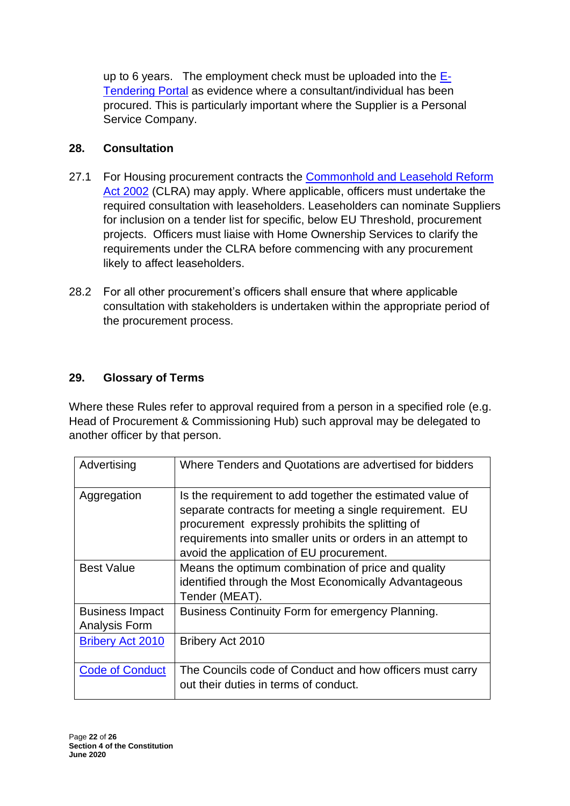up to 6 years. The employment check must be uploaded into the  $E$ -[Tendering Portal](https://procontract.due-north.com/Login/Login) as evidence where a consultant/individual has been procured. This is particularly important where the Supplier is a Personal Service Company.

## **28. Consultation**

- 27.1 For Housing procurement contracts the Commonhold and Leasehold Reform [Act 2002](http://www.legislation.gov.uk/ukpga/2002/15/section/164) (CLRA) may apply. Where applicable, officers must undertake the required consultation with leaseholders. Leaseholders can nominate Suppliers for inclusion on a tender list for specific, below EU Threshold, procurement projects. Officers must liaise with Home Ownership Services to clarify the requirements under the CLRA before commencing with any procurement likely to affect leaseholders.
- 28.2 For all other procurement's officers shall ensure that where applicable consultation with stakeholders is undertaken within the appropriate period of the procurement process.

# **29. Glossary of Terms**

Where these Rules refer to approval required from a person in a specified role (e.g. Head of Procurement & Commissioning Hub) such approval may be delegated to another officer by that person.

| Advertising                                    | Where Tenders and Quotations are advertised for bidders                                                                                                                                                                                                                            |
|------------------------------------------------|------------------------------------------------------------------------------------------------------------------------------------------------------------------------------------------------------------------------------------------------------------------------------------|
| Aggregation                                    | Is the requirement to add together the estimated value of<br>separate contracts for meeting a single requirement. EU<br>procurement expressly prohibits the splitting of<br>requirements into smaller units or orders in an attempt to<br>avoid the application of EU procurement. |
| <b>Best Value</b>                              | Means the optimum combination of price and quality<br>identified through the Most Economically Advantageous<br>Tender (MEAT).                                                                                                                                                      |
| <b>Business Impact</b><br><b>Analysis Form</b> | Business Continuity Form for emergency Planning.                                                                                                                                                                                                                                   |
| <b>Bribery Act 2010</b>                        | Bribery Act 2010                                                                                                                                                                                                                                                                   |
| <b>Code of Conduct</b>                         | The Councils code of Conduct and how officers must carry<br>out their duties in terms of conduct.                                                                                                                                                                                  |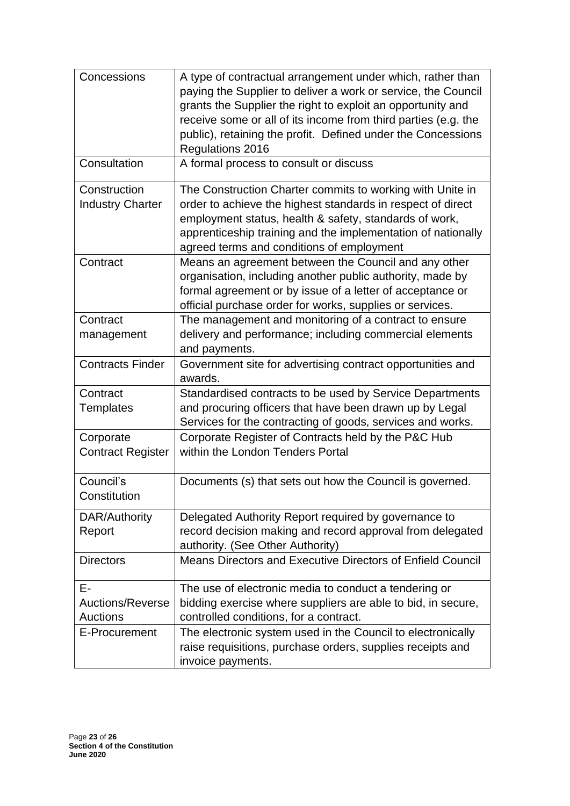| Concessions                                      | A type of contractual arrangement under which, rather than<br>paying the Supplier to deliver a work or service, the Council<br>grants the Supplier the right to exploit an opportunity and<br>receive some or all of its income from third parties (e.g. the<br>public), retaining the profit. Defined under the Concessions<br>Regulations 2016 |
|--------------------------------------------------|--------------------------------------------------------------------------------------------------------------------------------------------------------------------------------------------------------------------------------------------------------------------------------------------------------------------------------------------------|
| Consultation                                     | A formal process to consult or discuss                                                                                                                                                                                                                                                                                                           |
| Construction<br><b>Industry Charter</b>          | The Construction Charter commits to working with Unite in<br>order to achieve the highest standards in respect of direct<br>employment status, health & safety, standards of work,<br>apprenticeship training and the implementation of nationally<br>agreed terms and conditions of employment                                                  |
| Contract                                         | Means an agreement between the Council and any other<br>organisation, including another public authority, made by<br>formal agreement or by issue of a letter of acceptance or<br>official purchase order for works, supplies or services.                                                                                                       |
| Contract<br>management                           | The management and monitoring of a contract to ensure<br>delivery and performance; including commercial elements<br>and payments.                                                                                                                                                                                                                |
| <b>Contracts Finder</b>                          | Government site for advertising contract opportunities and<br>awards.                                                                                                                                                                                                                                                                            |
| Contract<br>Templates                            | Standardised contracts to be used by Service Departments<br>and procuring officers that have been drawn up by Legal<br>Services for the contracting of goods, services and works.                                                                                                                                                                |
| Corporate<br><b>Contract Register</b>            | Corporate Register of Contracts held by the P&C Hub<br>within the London Tenders Portal                                                                                                                                                                                                                                                          |
| Council's<br>Constitution                        | Documents (s) that sets out how the Council is governed.                                                                                                                                                                                                                                                                                         |
| DAR/Authority<br>Report                          | Delegated Authority Report required by governance to<br>record decision making and record approval from delegated<br>authority. (See Other Authority)                                                                                                                                                                                            |
| <b>Directors</b>                                 | Means Directors and Executive Directors of Enfield Council                                                                                                                                                                                                                                                                                       |
| Е-<br><b>Auctions/Reverse</b><br><b>Auctions</b> | The use of electronic media to conduct a tendering or<br>bidding exercise where suppliers are able to bid, in secure,<br>controlled conditions, for a contract.                                                                                                                                                                                  |
| E-Procurement                                    | The electronic system used in the Council to electronically<br>raise requisitions, purchase orders, supplies receipts and<br>invoice payments.                                                                                                                                                                                                   |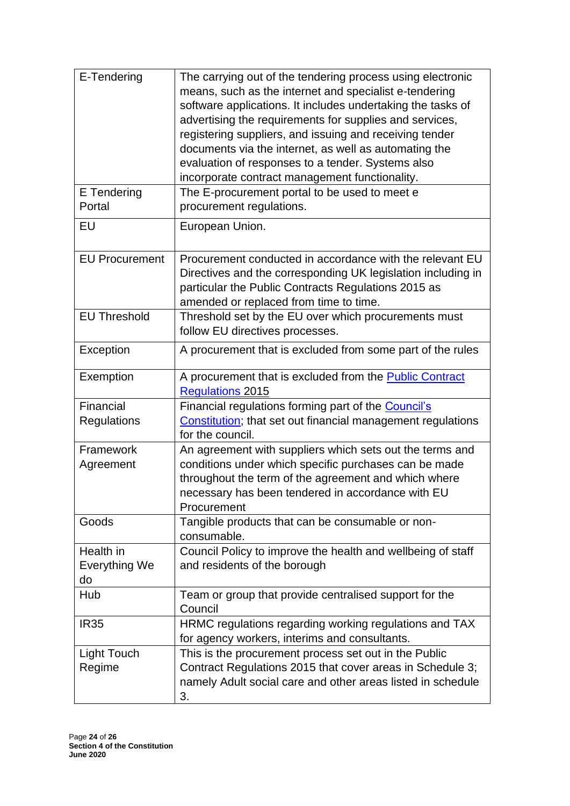| E-Tendering                      | The carrying out of the tendering process using electronic<br>means, such as the internet and specialist e-tendering<br>software applications. It includes undertaking the tasks of<br>advertising the requirements for supplies and services,<br>registering suppliers, and issuing and receiving tender<br>documents via the internet, as well as automating the<br>evaluation of responses to a tender. Systems also<br>incorporate contract management functionality. |
|----------------------------------|---------------------------------------------------------------------------------------------------------------------------------------------------------------------------------------------------------------------------------------------------------------------------------------------------------------------------------------------------------------------------------------------------------------------------------------------------------------------------|
| E Tendering<br>Portal            | The E-procurement portal to be used to meet e<br>procurement regulations.                                                                                                                                                                                                                                                                                                                                                                                                 |
| EU                               | European Union.                                                                                                                                                                                                                                                                                                                                                                                                                                                           |
| <b>EU Procurement</b>            | Procurement conducted in accordance with the relevant EU<br>Directives and the corresponding UK legislation including in<br>particular the Public Contracts Regulations 2015 as<br>amended or replaced from time to time.                                                                                                                                                                                                                                                 |
| <b>EU Threshold</b>              | Threshold set by the EU over which procurements must<br>follow EU directives processes.                                                                                                                                                                                                                                                                                                                                                                                   |
| Exception                        | A procurement that is excluded from some part of the rules                                                                                                                                                                                                                                                                                                                                                                                                                |
| Exemption                        | A procurement that is excluded from the <b>Public Contract</b><br><b>Regulations 2015</b>                                                                                                                                                                                                                                                                                                                                                                                 |
| Financial<br>Regulations         | Financial regulations forming part of the Council's<br><b>Constitution</b> ; that set out financial management regulations<br>for the council.                                                                                                                                                                                                                                                                                                                            |
| Framework<br>Agreement           | An agreement with suppliers which sets out the terms and<br>conditions under which specific purchases can be made<br>throughout the term of the agreement and which where<br>necessary has been tendered in accordance with EU<br>Procurement                                                                                                                                                                                                                             |
| Goods                            | Tangible products that can be consumable or non-<br>consumable.                                                                                                                                                                                                                                                                                                                                                                                                           |
| Health in<br>Everything We<br>do | Council Policy to improve the health and wellbeing of staff<br>and residents of the borough                                                                                                                                                                                                                                                                                                                                                                               |
| Hub                              | Team or group that provide centralised support for the<br>Council                                                                                                                                                                                                                                                                                                                                                                                                         |
| <b>IR35</b>                      | HRMC regulations regarding working regulations and TAX<br>for agency workers, interims and consultants.                                                                                                                                                                                                                                                                                                                                                                   |
| <b>Light Touch</b><br>Regime     | This is the procurement process set out in the Public<br>Contract Regulations 2015 that cover areas in Schedule 3;<br>namely Adult social care and other areas listed in schedule<br>3.                                                                                                                                                                                                                                                                                   |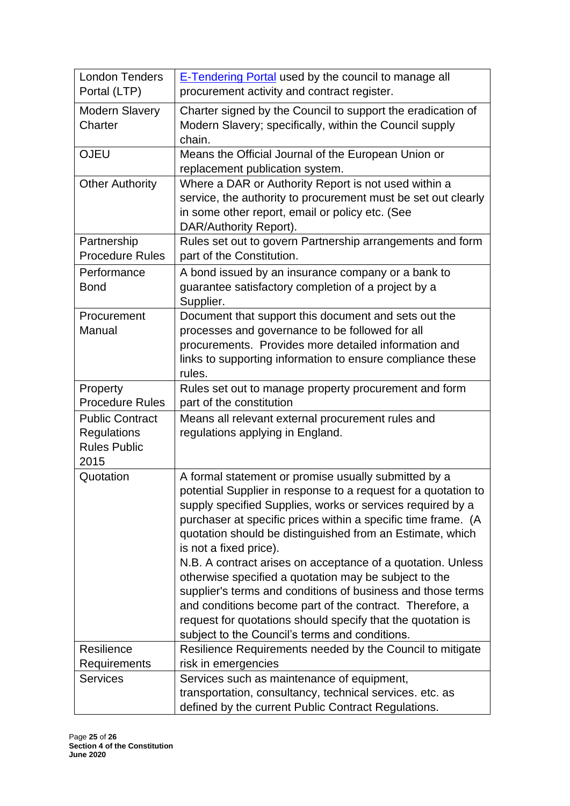| <b>London Tenders</b><br>Portal (LTP)                                       | <b>E-Tendering Portal used by the council to manage all</b><br>procurement activity and contract register.                                                                                                                                                                                                                                                                                                                                                                                                                                                                                                                                                                                                       |
|-----------------------------------------------------------------------------|------------------------------------------------------------------------------------------------------------------------------------------------------------------------------------------------------------------------------------------------------------------------------------------------------------------------------------------------------------------------------------------------------------------------------------------------------------------------------------------------------------------------------------------------------------------------------------------------------------------------------------------------------------------------------------------------------------------|
| <b>Modern Slavery</b><br>Charter                                            | Charter signed by the Council to support the eradication of<br>Modern Slavery; specifically, within the Council supply<br>chain.                                                                                                                                                                                                                                                                                                                                                                                                                                                                                                                                                                                 |
| <b>OJEU</b>                                                                 | Means the Official Journal of the European Union or<br>replacement publication system.                                                                                                                                                                                                                                                                                                                                                                                                                                                                                                                                                                                                                           |
| <b>Other Authority</b>                                                      | Where a DAR or Authority Report is not used within a<br>service, the authority to procurement must be set out clearly<br>in some other report, email or policy etc. (See<br>DAR/Authority Report).                                                                                                                                                                                                                                                                                                                                                                                                                                                                                                               |
| Partnership<br><b>Procedure Rules</b>                                       | Rules set out to govern Partnership arrangements and form<br>part of the Constitution.                                                                                                                                                                                                                                                                                                                                                                                                                                                                                                                                                                                                                           |
| Performance<br><b>Bond</b>                                                  | A bond issued by an insurance company or a bank to<br>guarantee satisfactory completion of a project by a<br>Supplier.                                                                                                                                                                                                                                                                                                                                                                                                                                                                                                                                                                                           |
| Procurement<br>Manual                                                       | Document that support this document and sets out the<br>processes and governance to be followed for all<br>procurements. Provides more detailed information and<br>links to supporting information to ensure compliance these<br>rules.                                                                                                                                                                                                                                                                                                                                                                                                                                                                          |
| Property<br><b>Procedure Rules</b>                                          | Rules set out to manage property procurement and form<br>part of the constitution                                                                                                                                                                                                                                                                                                                                                                                                                                                                                                                                                                                                                                |
| <b>Public Contract</b><br><b>Regulations</b><br><b>Rules Public</b><br>2015 | Means all relevant external procurement rules and<br>regulations applying in England.                                                                                                                                                                                                                                                                                                                                                                                                                                                                                                                                                                                                                            |
| Quotation                                                                   | A formal statement or promise usually submitted by a<br>potential Supplier in response to a request for a quotation to<br>supply specified Supplies, works or services required by a<br>purchaser at specific prices within a specific time frame. (A<br>quotation should be distinguished from an Estimate, which<br>is not a fixed price).<br>N.B. A contract arises on acceptance of a quotation. Unless<br>otherwise specified a quotation may be subject to the<br>supplier's terms and conditions of business and those terms<br>and conditions become part of the contract. Therefore, a<br>request for quotations should specify that the quotation is<br>subject to the Council's terms and conditions. |
| Resilience<br>Requirements                                                  | Resilience Requirements needed by the Council to mitigate<br>risk in emergencies                                                                                                                                                                                                                                                                                                                                                                                                                                                                                                                                                                                                                                 |
| <b>Services</b>                                                             | Services such as maintenance of equipment,<br>transportation, consultancy, technical services. etc. as<br>defined by the current Public Contract Regulations.                                                                                                                                                                                                                                                                                                                                                                                                                                                                                                                                                    |